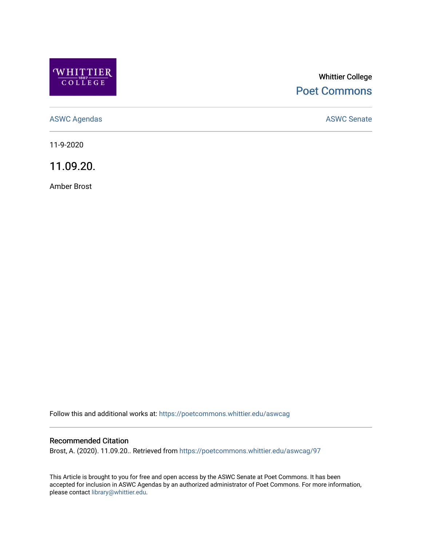

# Whittier College [Poet Commons](https://poetcommons.whittier.edu/)

[ASWC Agendas](https://poetcommons.whittier.edu/aswcag) **ASWC Senate** 

11-9-2020

11.09.20.

Amber Brost

Follow this and additional works at: [https://poetcommons.whittier.edu/aswcag](https://poetcommons.whittier.edu/aswcag?utm_source=poetcommons.whittier.edu%2Faswcag%2F97&utm_medium=PDF&utm_campaign=PDFCoverPages) 

# Recommended Citation

Brost, A. (2020). 11.09.20.. Retrieved from [https://poetcommons.whittier.edu/aswcag/97](https://poetcommons.whittier.edu/aswcag/97?utm_source=poetcommons.whittier.edu%2Faswcag%2F97&utm_medium=PDF&utm_campaign=PDFCoverPages) 

This Article is brought to you for free and open access by the ASWC Senate at Poet Commons. It has been accepted for inclusion in ASWC Agendas by an authorized administrator of Poet Commons. For more information, please contact [library@whittier.edu](mailto:library@whittier.edu).